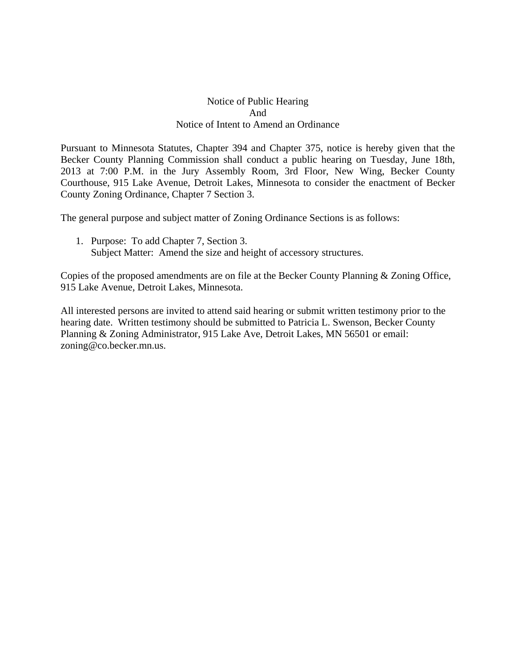## Notice of Public Hearing And Notice of Intent to Amend an Ordinance

Pursuant to Minnesota Statutes, Chapter 394 and Chapter 375, notice is hereby given that the Becker County Planning Commission shall conduct a public hearing on Tuesday, June 18th, 2013 at 7:00 P.M. in the Jury Assembly Room, 3rd Floor, New Wing, Becker County Courthouse, 915 Lake Avenue, Detroit Lakes, Minnesota to consider the enactment of Becker County Zoning Ordinance, Chapter 7 Section 3.

The general purpose and subject matter of Zoning Ordinance Sections is as follows:

1. Purpose: To add Chapter 7, Section 3. Subject Matter: Amend the size and height of accessory structures.

Copies of the proposed amendments are on file at the Becker County Planning & Zoning Office, 915 Lake Avenue, Detroit Lakes, Minnesota.

All interested persons are invited to attend said hearing or submit written testimony prior to the hearing date. Written testimony should be submitted to Patricia L. Swenson, Becker County Planning & Zoning Administrator, 915 Lake Ave, Detroit Lakes, MN 56501 or email: zoning@co.becker.mn.us.